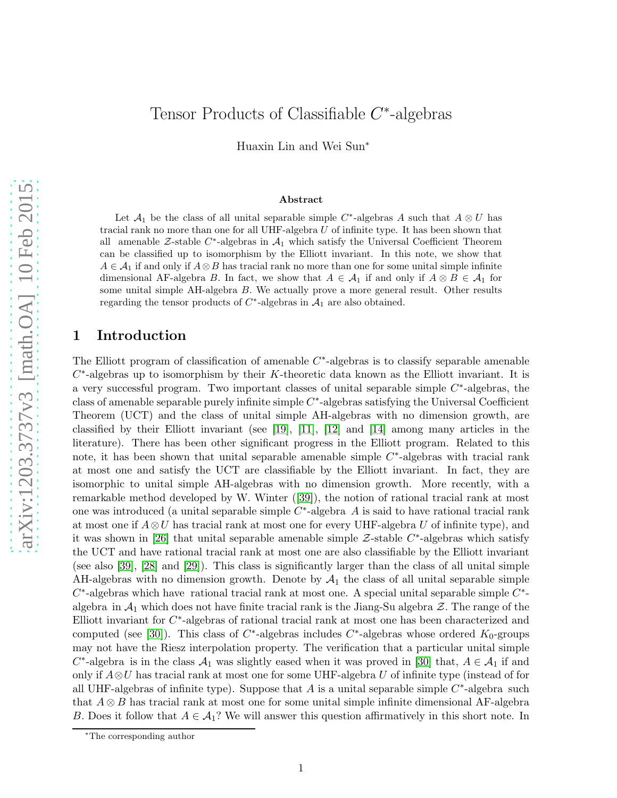# Tensor Products of Classifiable  $C^*$ -algebras

Huaxin Lin and Wei Sun<sup>∗</sup>

#### Abstract

Let  $\mathcal{A}_1$  be the class of all unital separable simple C<sup>\*</sup>-algebras A such that  $A \otimes U$  has tracial rank no more than one for all UHF-algebra  $U$  of infinite type. It has been shown that all amenable  $\mathcal{Z}\text{-stable } C^*$ -algebras in  $\mathcal{A}_1$  which satisfy the Universal Coefficient Theorem can be classified up to isomorphism by the Elliott invariant. In this note, we show that  $A \in \mathcal{A}_1$  if and only if  $A \otimes B$  has tracial rank no more than one for some unital simple infinite dimensional AF-algebra B. In fact, we show that  $A \in \mathcal{A}_1$  if and only if  $A \otimes B \in \mathcal{A}_1$  for some unital simple AH-algebra B. We actually prove a more general result. Other results regarding the tensor products of  $C^*$ -algebras in  $\mathcal{A}_1$  are also obtained.

#### 1 Introduction

The Elliott program of classification of amenable  $C^*$ -algebras is to classify separable amenable  $C^*$ -algebras up to isomorphism by their K-theoretic data known as the Elliott invariant. It is a very successful program. Two important classes of unital separable simple  $C^*$ -algebras, the class of amenable separable purely infinite simple  $C^*$ -algebras satisfying the Universal Coefficient Theorem (UCT) and the class of unital simple AH-algebras with no dimension growth, are classified by their Elliott invariant (see [\[19\]](#page-15-0), [\[11\]](#page-15-1), [\[12\]](#page-15-2) and [\[14\]](#page-15-3) among many articles in the literature). There has been other significant progress in the Elliott program. Related to this note, it has been shown that unital separable amenable simple  $C^*$ -algebras with tracial rank at most one and satisfy the UCT are classifiable by the Elliott invariant. In fact, they are isomorphic to unital simple AH-algebras with no dimension growth. More recently, with a remarkable method developed by W. Winter ([\[39\]](#page-16-0)), the notion of rational tracial rank at most one was introduced (a unital separable simple  $C^*$ -algebra A is said to have rational tracial rank at most one if  $A\otimes U$  has tracial rank at most one for every UHF-algebra U of infinite type), and it was shown in [\[26\]](#page-16-1) that unital separable amenable simple  $\mathcal{Z}\text{-stable}$   $C^*$ -algebras which satisfy the UCT and have rational tracial rank at most one are also classifiable by the Elliott invariant (see also [\[39\]](#page-16-0), [\[28\]](#page-16-2) and [\[29\]](#page-16-3)). This class is significantly larger than the class of all unital simple AH-algebras with no dimension growth. Denote by  $A_1$  the class of all unital separable simple  $C^*$ -algebras which have rational tracial rank at most one. A special unital separable simple  $C^*$ algebra in  $\mathcal{A}_1$  which does not have finite tracial rank is the Jiang-Su algebra  $\mathcal{Z}$ . The range of the Elliott invariant for  $C^*$ -algebras of rational tracial rank at most one has been characterized and computed (see [\[30\]](#page-16-4)). This class of  $C^*$ -algebras includes  $C^*$ -algebras whose ordered  $K_0$ -groups may not have the Riesz interpolation property. The verification that a particular unital simple  $C^*$ -algebra is in the class  $\mathcal{A}_1$  was slightly eased when it was proved in [\[30\]](#page-16-4) that,  $A \in \mathcal{A}_1$  if and only if  $A\otimes U$  has tracial rank at most one for some UHF-algebra U of infinite type (instead of for all UHF-algebras of infinite type). Suppose that A is a unital separable simple  $C^*$ -algebra such that  $A \otimes B$  has tracial rank at most one for some unital simple infinite dimensional AF-algebra B. Does it follow that  $A \in \mathcal{A}_1$ ? We will answer this question affirmatively in this short note. In

<sup>∗</sup>The corresponding author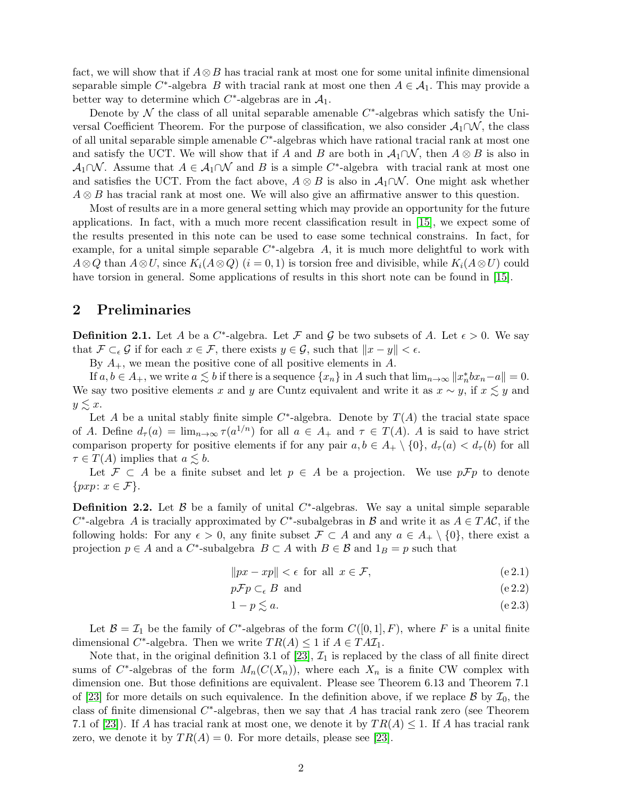fact, we will show that if  $A \otimes B$  has tracial rank at most one for some unital infinite dimensional separable simple C<sup>\*</sup>-algebra B with tracial rank at most one then  $A \in \mathcal{A}_1$ . This may provide a better way to determine which  $C^*$ -algebras are in  $\mathcal{A}_1$ .

Denote by  $\mathcal N$  the class of all unital separable amenable  $C^*$ -algebras which satisfy the Universal Coefficient Theorem. For the purpose of classification, we also consider  $\mathcal{A}_1 \cap \mathcal{N}$ , the class of all unital separable simple amenable  $C^*$ -algebras which have rational tracial rank at most one and satisfy the UCT. We will show that if A and B are both in  $\mathcal{A}_1 \cap \mathcal{N}$ , then  $A \otimes B$  is also in  $\mathcal{A}_1 \cap \mathcal{N}$ . Assume that  $A \in \mathcal{A}_1 \cap \mathcal{N}$  and B is a simple C<sup>\*</sup>-algebra with tracial rank at most one and satisfies the UCT. From the fact above,  $A \otimes B$  is also in  $\mathcal{A}_1 \cap \mathcal{N}$ . One might ask whether  $A \otimes B$  has tracial rank at most one. We will also give an affirmative answer to this question.

Most of results are in a more general setting which may provide an opportunity for the future applications. In fact, with a much more recent classification result in [\[15\]](#page-15-4), we expect some of the results presented in this note can be used to ease some technical constrains. In fact, for example, for a unital simple separable  $C^*$ -algebra A, it is much more delightful to work with  $A\otimes Q$  than  $A\otimes U$ , since  $K_i(A\otimes Q)$   $(i = 0, 1)$  is torsion free and divisible, while  $K_i(A\otimes U)$  could have torsion in general. Some applications of results in this short note can be found in [\[15\]](#page-15-4).

#### 2 Preliminaries

**Definition 2.1.** Let A be a  $C^*$ -algebra. Let F and G be two subsets of A. Let  $\epsilon > 0$ . We say that  $\mathcal{F} \subset_{\epsilon} \mathcal{G}$  if for each  $x \in \mathcal{F}$ , there exists  $y \in \mathcal{G}$ , such that  $||x - y|| < \epsilon$ .

By  $A_+$ , we mean the positive cone of all positive elements in A.

If  $a, b \in A_+$ , we write  $a \lesssim b$  if there is a sequence  $\{x_n\}$  in A such that  $\lim_{n\to\infty} ||x_n^*bx_n-a|| = 0$ . We say two positive elements x and y are Cuntz equivalent and write it as  $x \sim y$ , if  $x \lesssim y$  and  $y \leq x$ .

Let A be a unital stably finite simple  $C^*$ -algebra. Denote by  $T(A)$  the tracial state space of A. Define  $d_{\tau}(a) = \lim_{n \to \infty} \tau(a^{1/n})$  for all  $a \in A_+$  and  $\tau \in T(A)$ . A is said to have strict comparison property for positive elements if for any pair  $a, b \in A_+ \setminus \{0\}$ ,  $d_{\tau}(a) < d_{\tau}(b)$  for all  $\tau \in T(A)$  implies that  $a \leq b$ .

Let  $\mathcal{F} \subset A$  be a finite subset and let  $p \in A$  be a projection. We use  $p\mathcal{F}p$  to denote  $\{pxp: x \in \mathcal{F}\}.$ 

**Definition 2.2.** Let  $\beta$  be a family of unital  $C^*$ -algebras. We say a unital simple separable  $C^*$ -algebra A is tracially approximated by  $C^*$ -subalgebras in B and write it as  $A \in TAC$ , if the following holds: For any  $\epsilon > 0$ , any finite subset  $\mathcal{F} \subset A$  and any  $a \in A_+ \setminus \{0\}$ , there exist a projection  $p \in A$  and a  $C^*$ -subalgebra  $B \subset A$  with  $B \in \mathcal{B}$  and  $1_B = p$  such that

$$
||px - xp|| < \epsilon \text{ for all } x \in \mathcal{F},
$$
\n
$$
(e 2.1)
$$

$$
p\mathcal{F}p \subset_{\epsilon} B \text{ and } \tag{e.2.2}
$$

$$
1 - p \lesssim a. \tag{e2.3}
$$

Let  $\mathcal{B} = \mathcal{I}_1$  be the family of C<sup>\*</sup>-algebras of the form  $C([0,1], F)$ , where F is a unital finite dimensional C<sup>\*</sup>-algebra. Then we write  $TR(A) \leq 1$  if  $A \in TAT_1$ .

Note that, in the original definition 3.1 of [\[23\]](#page-15-5),  $\mathcal{I}_1$  is replaced by the class of all finite direct sums of  $C^*$ -algebras of the form  $M_n(C(X_n))$ , where each  $X_n$  is a finite CW complex with dimension one. But those definitions are equivalent. Please see Theorem 6.13 and Theorem 7.1 of [\[23\]](#page-15-5) for more details on such equivalence. In the definition above, if we replace  $\mathcal{B}$  by  $\mathcal{I}_0$ , the class of finite dimensional  $C^*$ -algebras, then we say that A has tracial rank zero (see Theorem 7.1 of [\[23\]](#page-15-5)). If A has tracial rank at most one, we denote it by  $TR(A) \leq 1$ . If A has tracial rank zero, we denote it by  $TR(A) = 0$ . For more details, please see [\[23\]](#page-15-5).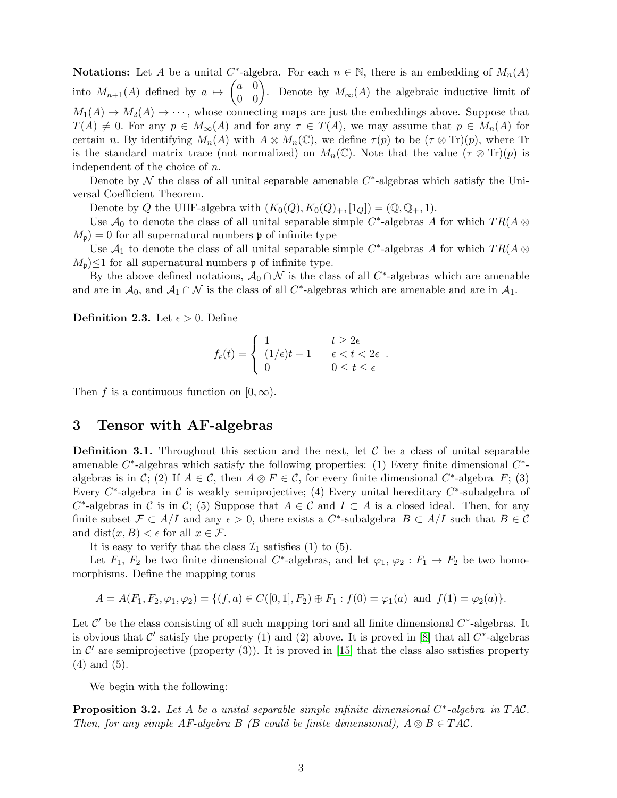**Notations:** Let A be a unital C<sup>\*</sup>-algebra. For each  $n \in \mathbb{N}$ , there is an embedding of  $M_n(A)$ into  $M_{n+1}(A)$  defined by  $a \mapsto \begin{pmatrix} a & 0 \\ 0 & 0 \end{pmatrix}$ . Denote by  $M_{\infty}(A)$  the algebraic inductive limit of  $M_1(A) \to M_2(A) \to \cdots$ , whose connecting maps are just the embeddings above. Suppose that  $T(A) \neq 0$ . For any  $p \in M_{\infty}(A)$  and for any  $\tau \in T(A)$ , we may assume that  $p \in M_n(A)$  for certain n. By identifying  $M_n(A)$  with  $A \otimes M_n(\mathbb{C})$ , we define  $\tau(p)$  to be  $(\tau \otimes \text{Tr})(p)$ , where Tr is the standard matrix trace (not normalized) on  $M_n(\mathbb{C})$ . Note that the value  $(\tau \otimes \text{Tr})(p)$  is independent of the choice of n.

Denote by  $\mathcal N$  the class of all unital separable amenable  $C^*$ -algebras which satisfy the Universal Coefficient Theorem.

Denote by Q the UHF-algebra with  $(K_0(Q), K_0(Q)_+, [1_Q]) = (\mathbb{Q}, \mathbb{Q}_+, 1).$ 

Use  $\mathcal{A}_0$  to denote the class of all unital separable simple C<sup>\*</sup>-algebras A for which  $TR(A \otimes$  $M_{\mathfrak{p}} = 0$  for all supernatural numbers **p** of infinite type

Use  $A_1$  to denote the class of all unital separable simple C<sup>\*</sup>-algebras A for which  $TR(A \otimes$  $M_{\mathfrak{p}}\leq 1$  for all supernatural numbers **p** of infinite type.

By the above defined notations,  $\mathcal{A}_0 \cap \mathcal{N}$  is the class of all C<sup>\*</sup>-algebras which are amenable and are in  $A_0$ , and  $A_1 \cap \mathcal{N}$  is the class of all C<sup>\*</sup>-algebras which are amenable and are in  $A_1$ .

**Definition 2.3.** Let  $\epsilon > 0$ . Define

$$
f_{\epsilon}(t) = \begin{cases} 1 & t \geq 2\epsilon \\ (1/\epsilon)t - 1 & \epsilon < t < 2\epsilon \\ 0 & 0 \leq t \leq \epsilon \end{cases}.
$$

Then f is a continuous function on  $[0, \infty)$ .

#### 3 Tensor with AF-algebras

**Definition 3.1.** Throughout this section and the next, let  $\mathcal{C}$  be a class of unital separable amenable  $C^*$ -algebras which satisfy the following properties: (1) Every finite dimensional  $C^*$ algebras is in C; (2) If  $A \in \mathcal{C}$ , then  $A \otimes F \in \mathcal{C}$ , for every finite dimensional C<sup>\*</sup>-algebra F; (3) Every  $C^*$ -algebra in C is weakly semiprojective; (4) Every unital hereditary  $C^*$ -subalgebra of  $C^*$ -algebras in C is in C; (5) Suppose that  $A \in \mathcal{C}$  and  $I \subset A$  is a closed ideal. Then, for any finite subset  $\mathcal{F} \subset A/I$  and any  $\epsilon > 0$ , there exists a C<sup>\*</sup>-subalgebra  $B \subset A/I$  such that  $B \in \mathcal{C}$ and dist $(x, B) < \epsilon$  for all  $x \in \mathcal{F}$ .

It is easy to verify that the class  $\mathcal{I}_1$  satisfies (1) to (5).

Let  $F_1, F_2$  be two finite dimensional C<sup>\*</sup>-algebras, and let  $\varphi_1, \varphi_2 : F_1 \to F_2$  be two homomorphisms. Define the mapping torus

$$
A = A(F_1, F_2, \varphi_1, \varphi_2) = \{(f, a) \in C([0, 1], F_2) \oplus F_1 : f(0) = \varphi_1(a) \text{ and } f(1) = \varphi_2(a)\}.
$$

Let  $\mathcal{C}'$  be the class consisting of all such mapping tori and all finite dimensional  $C^*$ -algebras. It is obvious that  $\mathcal{C}'$  satisfy the property (1) and (2) above. It is proved in [\[8\]](#page-15-6) that all  $C^*$ -algebras in  $\mathcal{C}'$  are semiprojective (property (3)). It is proved in [\[15\]](#page-15-4) that the class also satisfies property (4) and (5).

We begin with the following:

<span id="page-2-0"></span>**Proposition 3.2.** Let A be a unital separable simple infinite dimensional  $C^*$ -algebra in TAC. Then, for any simple AF-algebra B (B could be finite dimensional),  $A \otimes B \in TAC$ .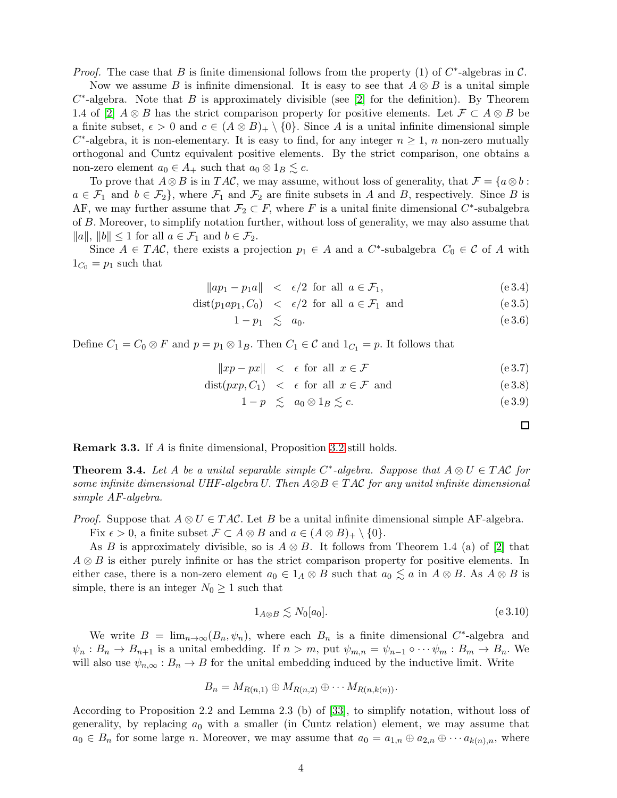*Proof.* The case that B is finite dimensional follows from the property (1) of  $C^*$ -algebras in  $C$ .

Now we assume B is infinite dimensional. It is easy to see that  $A \otimes B$  is a unital simple  $C^*$ -algebra. Note that B is approximately divisible (see [\[2\]](#page-14-0) for the definition). By Theorem 1.4 of [\[2\]](#page-14-0)  $A \otimes B$  has the strict comparison property for positive elements. Let  $\mathcal{F} \subset A \otimes B$  be a finite subset,  $\epsilon > 0$  and  $c \in (A \otimes B)_{+} \setminus \{0\}$ . Since A is a unital infinite dimensional simple  $C^*$ -algebra, it is non-elementary. It is easy to find, for any integer  $n \geq 1$ , n non-zero mutually orthogonal and Cuntz equivalent positive elements. By the strict comparison, one obtains a non-zero element  $a_0 \in A_+$  such that  $a_0 \otimes 1_B \leq c$ .

To prove that  $A \otimes B$  is in TAC, we may assume, without loss of generality, that  $\mathcal{F} = \{a \otimes b :$  $a \in \mathcal{F}_1$  and  $b \in \mathcal{F}_2$ , where  $\mathcal{F}_1$  and  $\mathcal{F}_2$  are finite subsets in A and B, respectively. Since B is AF, we may further assume that  $\mathcal{F}_2 \subset F$ , where F is a unital finite dimensional C<sup>\*</sup>-subalgebra of B. Moreover, to simplify notation further, without loss of generality, we may also assume that  $||a||, ||b|| \le 1$  for all  $a \in \mathcal{F}_1$  and  $b \in \mathcal{F}_2$ .

Since  $A \in TAC$ , there exists a projection  $p_1 \in A$  and a  $C^*$ -subalgebra  $C_0 \in \mathcal{C}$  of A with  $1_{C_0} = p_1$  such that

$$
\|ap_1 - p_1a\| < \epsilon/2 \text{ for all } a \in \mathcal{F}_1,\tag{e.3.4}
$$

$$
dist(p_1 ap_1, C_0) < \epsilon/2 \text{ for all } a \in \mathcal{F}_1 \text{ and } (e 3.5)
$$

$$
1 - p_1 \quad \lesssim \quad a_0. \tag{e.3.6}
$$

Define  $C_1 = C_0 \otimes F$  and  $p = p_1 \otimes 1_B$ . Then  $C_1 \in \mathcal{C}$  and  $1_{C_1} = p$ . It follows that

$$
||xp - px|| < \epsilon \text{ for all } x \in \mathcal{F}
$$
 (e.3.7)

$$
dist(pxp, C_1) < \epsilon
$$
 for all  $x \in \mathcal{F}$  and  $(e 3.8)$ 

$$
1 - p \leq a_0 \otimes 1_B \leq c. \tag{e.3.9}
$$

Remark 3.3. If A is finite dimensional, Proposition [3.2](#page-2-0) still holds.

<span id="page-3-1"></span>**Theorem 3.4.** Let A be a unital separable simple C<sup>\*</sup>-algebra. Suppose that  $A \otimes U \in TAC$  for some infinite dimensional UHF-algebra U. Then  $A \otimes B \in TAC$  for any unital infinite dimensional simple AF-algebra.

*Proof.* Suppose that  $A \otimes U \in TAC$ . Let B be a unital infinite dimensional simple AF-algebra.

Fix  $\epsilon > 0$ , a finite subset  $\mathcal{F} \subset A \otimes B$  and  $a \in (A \otimes B)_{+} \setminus \{0\}.$ 

As B is approximately divisible, so is  $A \otimes B$ . It follows from Theorem 1.4 (a) of [\[2\]](#page-14-0) that  $A \otimes B$  is either purely infinite or has the strict comparison property for positive elements. In either case, there is a non-zero element  $a_0 \in 1_A \otimes B$  such that  $a_0 \leq a$  in  $A \otimes B$ . As  $A \otimes B$  is simple, there is an integer  $N_0 \geq 1$  such that

<span id="page-3-0"></span>
$$
1_{A \otimes B} \lesssim N_0[a_0]. \tag{e 3.10}
$$

We write  $B = \lim_{n \to \infty} (B_n, \psi_n)$ , where each  $B_n$  is a finite dimensional C<sup>\*</sup>-algebra and  $\psi_n : B_n \to B_{n+1}$  is a unital embedding. If  $n > m$ , put  $\psi_{m,n} = \psi_{n-1} \circ \cdots \psi_m : B_m \to B_n$ . We will also use  $\psi_{n,\infty}: B_n \to B$  for the unital embedding induced by the inductive limit. Write

$$
B_n = M_{R(n,1)} \oplus M_{R(n,2)} \oplus \cdots M_{R(n,k(n))}.
$$

According to Proposition 2.2 and Lemma 2.3 (b) of [\[33\]](#page-16-5), to simplify notation, without loss of generality, by replacing  $a_0$  with a smaller (in Cuntz relation) element, we may assume that  $a_0 \in B_n$  for some large n. Moreover, we may assume that  $a_0 = a_{1,n} \oplus a_{2,n} \oplus \cdots a_{k(n),n}$ , where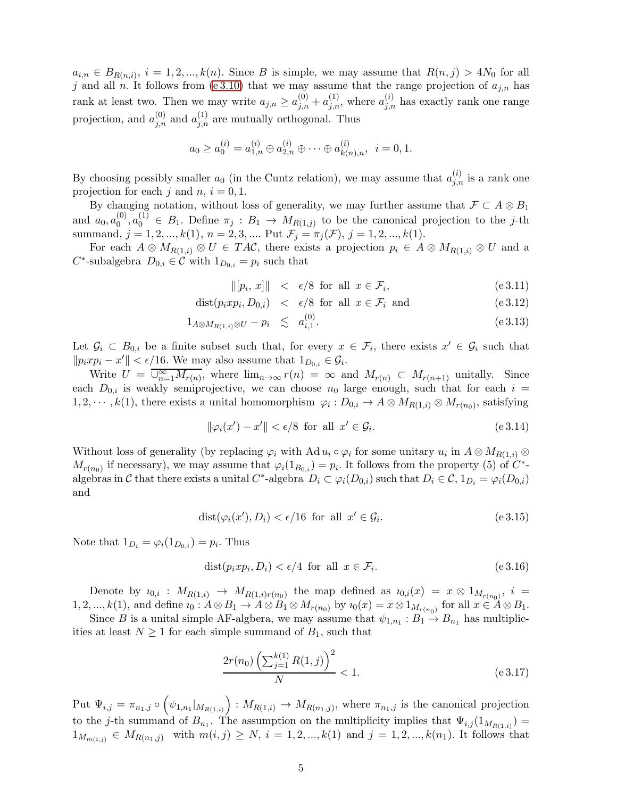$a_{i,n} \in B_{R(n,i)}, i = 1, 2, ..., k(n)$ . Since B is simple, we may assume that  $R(n,j) > 4N_0$  for all j and all n. It follows from [\(e 3.10\)](#page-3-0) that we may assume that the range projection of  $a_{j,n}$  has rank at least two. Then we may write  $a_{j,n} \ge a_{j,n}^{(0)} + a_{j,n}^{(1)}$ , where  $a_{j,n}^{(i)}$  has exactly rank one range projection, and  $a_{j,n}^{(0)}$  and  $a_{j,n}^{(1)}$  are mutually orthogonal. Thus

$$
a_0 \ge a_0^{(i)} = a_{1,n}^{(i)} \oplus a_{2,n}^{(i)} \oplus \cdots \oplus a_{k(n),n}^{(i)}, \ \ i = 0, 1.
$$

By choosing possibly smaller  $a_0$  (in the Cuntz relation), we may assume that  $a_{j,n}^{(i)}$  is a rank one projection for each j and  $n, i = 0, 1$ .

By changing notation, without loss of generality, we may further assume that  $\mathcal{F} \subset A \otimes B_1$ and  $a_0, a_0^{(0)}$  $\mathcal{L}_{0}^{(0)}, \mathcal{L}_{0}^{(1)} \in B_1$ . Define  $\pi_j : B_1 \to M_{R(1,j)}$  to be the canonical projection to the j-th summand,  $j = 1, 2, ..., k(1), n = 2, 3, ...$  Put  $\mathcal{F}_j = \pi_j(\mathcal{F}), j = 1, 2, ..., k(1)$ .

For each  $A \otimes M_{R(1,i)} \otimes U \in TAC$ , there exists a projection  $p_i \in A \otimes M_{R(1,i)} \otimes U$  and a  $C^*$ -subalgebra  $D_{0,i} \in \mathcal{C}$  with  $1_{D_{0,i}} = p_i$  such that

<span id="page-4-0"></span>
$$
\| [p_i, x] \| < \epsilon/8 \text{ for all } x \in \mathcal{F}_i,\tag{e.3.11}
$$

$$
dist(p_i x p_i, D_{0,i}) < \epsilon/8 \text{ for all } x \in \mathcal{F}_i \text{ and} \tag{e.3.12}
$$

$$
1_{A\otimes M_{R(1,i)}\otimes U} - p_i \leq a_{i,1}^{(0)}.
$$
\n(e 3.13)

Let  $\mathcal{G}_i \subset B_{0,i}$  be a finite subset such that, for every  $x \in \mathcal{F}_i$ , there exists  $x' \in \mathcal{G}_i$  such that  $||p_ixp_i - x'|| < \epsilon/16$ . We may also assume that  $1_{D_{0,i}} \in \mathcal{G}_i$ .

Write  $U = \overline{\bigcup_{n=1}^{\infty} M_{r(n)}}$ , where  $\lim_{n\to\infty} r(n) = \infty$  and  $M_{r(n)} \subset M_{r(n+1)}$  unitally. Since each  $D_{0,i}$  is weakly semiprojective, we can choose  $n_0$  large enough, such that for each  $i =$  $1, 2, \cdots, k(1)$ , there exists a unital homomorphism  $\varphi_i: D_{0,i} \to A \otimes M_{R(1,i)} \otimes M_{r(n_0)}$ , satisfying

$$
\|\varphi_i(x') - x'\| < \epsilon/8 \quad \text{for all} \quad x' \in \mathcal{G}_i. \tag{e.3.14}
$$

Without loss of generality (by replacing  $\varphi_i$  with Ad  $u_i \circ \varphi_i$  for some unitary  $u_i$  in  $A \otimes M_{R(1,i)} \otimes$  $M_{r(n_0)}$  if necessary), we may assume that  $\varphi_i(1_{B_{0,i}}) = p_i$ . It follows from the property (5) of  $C^*$ algebras in C that there exists a unital  $C^*$ -algebra  $D_i \subset \varphi_i(D_{0,i})$  such that  $D_i \in \mathcal{C}$ ,  $1_{D_i} = \varphi_i(D_{0,i})$ and

$$
dist(\varphi_i(x'), D_i) < \epsilon/16 \text{ for all } x' \in \mathcal{G}_i. \tag{e.3.15}
$$

Note that  $1_{D_i} = \varphi_i(1_{D_{0,i}}) = p_i$ . Thus

$$
dist(p_i x p_i, D_i) < \epsilon/4 \quad \text{for all} \quad x \in \mathcal{F}_i. \tag{e.3.16}
$$

Denote by  $i_{0,i}$ :  $M_{R(1,i)} \rightarrow M_{R(1,i)r(n_0)}$  the map defined as  $i_{0,i}(x) = x \otimes 1_{M_{r(n_0)}}, i =$ 1, 2, ...,  $k(1)$ , and define  $i_0: A \otimes B_1 \to A \otimes B_1 \otimes M_{r(n_0)}$  by  $i_0(x) = x \otimes 1_{M_{r(n_0)}}$  for all  $x \in A \otimes B_1$ .

Since B is a unital simple AF-algbera, we may assume that  $\psi_{1,n_1}: B_1 \to B_{n_1}$  has multiplicities at least  $N \geq 1$  for each simple summand of  $B_1$ , such that

$$
\frac{2r(n_0)\left(\sum_{j=1}^{k(1)} R(1,j)\right)^2}{N} < 1. \tag{e 3.17}
$$

Put  $\Psi_{i,j} = \pi_{n_1,j} \circ \left(\psi_{1,n_1}|_{M_{R(1,i)}}\right) : M_{R(1,i)} \to M_{R(n_1,j)}$ , where  $\pi_{n_1,j}$  is the canonical projection to the j-th summand of  $B_{n_1}$ . The assumption on the multiplicity implies that  $\Psi_{i,j}(1_{M_{R(1,i)}})$  =  $1_{M_{m(i,j)}} \in M_{R(n_1,j)}$  with  $m(i,j) \geq N$ ,  $i = 1,2,...,k(1)$  and  $j = 1,2,...,k(n_1)$ . It follows that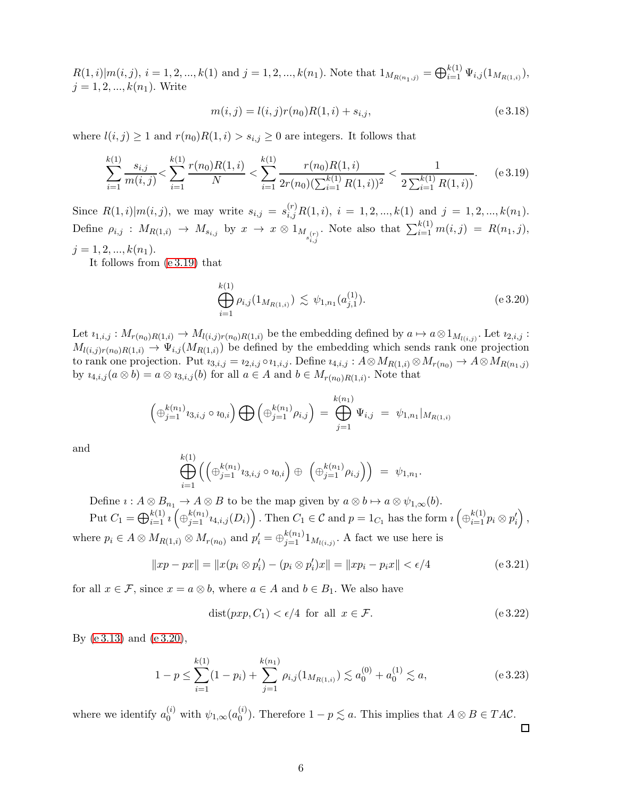$R(1, i)|m(i, j), i = 1, 2, ..., k(1)$  and  $j = 1, 2, ..., k(n_1)$ . Note that  $1_{M_{R(n_1, j)}} = \bigoplus_{i=1}^{k(1)} \Psi_{i, j}(1_{M_{R(1, i)}}),$  $j = 1, 2, ..., k(n_1)$ . Write

$$
m(i,j) = l(i,j)r(n_0)R(1,i) + s_{i,j},
$$
\n<sup>(e 3.18)</sup>

where  $l(i, j) \geq 1$  and  $r(n_0)R(1, i) > s_{i,j} \geq 0$  are integers. It follows that

<span id="page-5-0"></span>
$$
\sum_{i=1}^{k(1)} \frac{s_{i,j}}{m(i,j)} < \sum_{i=1}^{k(1)} \frac{r(n_0)R(1,i)}{N} < \sum_{i=1}^{k(1)} \frac{r(n_0)R(1,i)}{2r(n_0)(\sum_{i=1}^{k(1)} R(1,i))^2} < \frac{1}{2\sum_{i=1}^{k(1)} R(1,i)}.\tag{e.3.19}
$$

Since  $R(1, i)|m(i, j)$ , we may write  $s_{i,j} = s_{i,j}^{(r)}R(1, i), i = 1, 2, ..., k(1)$  and  $j = 1, 2, ..., k(n_1)$ . Define  $\rho_{i,j}$  :  $M_{R(1,i)} \rightarrow M_{s_{i,j}}$  by  $x \rightarrow x \otimes 1_{M_{s_{i,j}}(r)}$ . Note also that  $\sum_{i=1}^{k(1)} m(i, j) = R(n_1, j),$  $j = 1, 2, ..., k(n_1).$ 

It follows from [\(e 3.19\)](#page-5-0) that

<span id="page-5-1"></span>
$$
\bigoplus_{i=1}^{k(1)} \rho_{i,j}(1_{M_{R(1,i)}}) \lesssim \psi_{1,n_1}(a_{j,1}^{(1)}).
$$
\n(e 3.20)

Let  $i_{1,i,j}: M_{r(n_0)R(1,i)} \to M_{l(i,j)r(n_0)R(1,i)}$  be the embedding defined by  $a \mapsto a \otimes 1_{M_{l(i,j)}}$ . Let  $i_{2,i,j}$ :  $M_{l(i,j)r(n_0)R(1,i)} \to \Psi_{i,j}(M_{R(1,i)})$  be defined by the embedding which sends rank one projection to rank one projection. Put  $i_{3,i,j} = i_{2,i,j} \circ i_{1,i,j}$ . Define  $i_{4,i,j} : A \otimes M_{R(1,i)} \otimes M_{r(n_0)} \to A \otimes M_{R(n_1,i)}$ by  $u_{4,i,j}(a \otimes b) = a \otimes u_{3,i,j}(b)$  for all  $a \in A$  and  $b \in M_{r(n_0)R(1,i)}$ . Note that

$$
\left(\oplus_{j=1}^{k(n_1)} i_{3,i,j} \circ i_{0,i}\right) \bigoplus \left(\oplus_{j=1}^{k(n_1)} \rho_{i,j}\right) = \bigoplus_{j=1}^{k(n_1)} \Psi_{i,j} = \psi_{1,n_1}|_{M_{R(1,i)}}
$$

and

$$
\bigoplus_{i=1}^{k(1)} \left( \left( \oplus_{j=1}^{k(n_1)} i_{3,i,j} \circ i_{0,i} \right) \oplus \left( \oplus_{j=1}^{k(n_1)} \rho_{i,j} \right) \right) = \psi_{1,n_1}.
$$

Define  $\iota : A \otimes B_{n_1} \to A \otimes B$  to be the map given by  $a \otimes b \mapsto a \otimes \psi_{1,\infty}(b)$ .

 $\text{Put } C_1 = \bigoplus_{i=1}^{k(1)} i \left( \bigoplus_{j=1}^{k(n_1)} i_{4,i,j}(D_i) \right). \text{ Then } C_1 \in \mathcal{C} \text{ and } p = 1_{C_1} \text{ has the form } i \left( \bigoplus_{i=1}^{k(1)} p_i \otimes p_i' \right),$ where  $p_i \in A \otimes M_{R(1,i)} \otimes M_{r(n_0)}$  and  $p'_i = \bigoplus_{j=1}^{k(n_1)} 1_{M_{l(i,j)}}$ . A fact we use here is

$$
||xp - px|| = ||x(p_i \otimes p'_i) - (p_i \otimes p'_i)x|| = ||xp_i - p_ix|| < \epsilon/4
$$
 (e 3.21)

for all  $x \in \mathcal{F}$ , since  $x = a \otimes b$ , where  $a \in A$  and  $b \in B_1$ . We also have

$$
dist(pxp, C_1) < \epsilon/4 \quad \text{for all} \quad x \in \mathcal{F}.\tag{e.3.22}
$$

By [\(e 3.13\)](#page-4-0) and [\(e 3.20\)](#page-5-1),

$$
1 - p \le \sum_{i=1}^{k(1)} (1 - p_i) + \sum_{j=1}^{k(n_1)} \rho_{i,j}(1_{M_{R(1,i)}}) \lesssim a_0^{(0)} + a_0^{(1)} \lesssim a,
$$
 (e 3.23)

where we identify  $a_0^{(i)}$  with  $\psi_{1,\infty}(a_0^{(i)})$  $\binom{N}{0}$ . Therefore  $1 - p \lesssim a$ . This implies that  $A \otimes B \in TAC$ .  $\Box$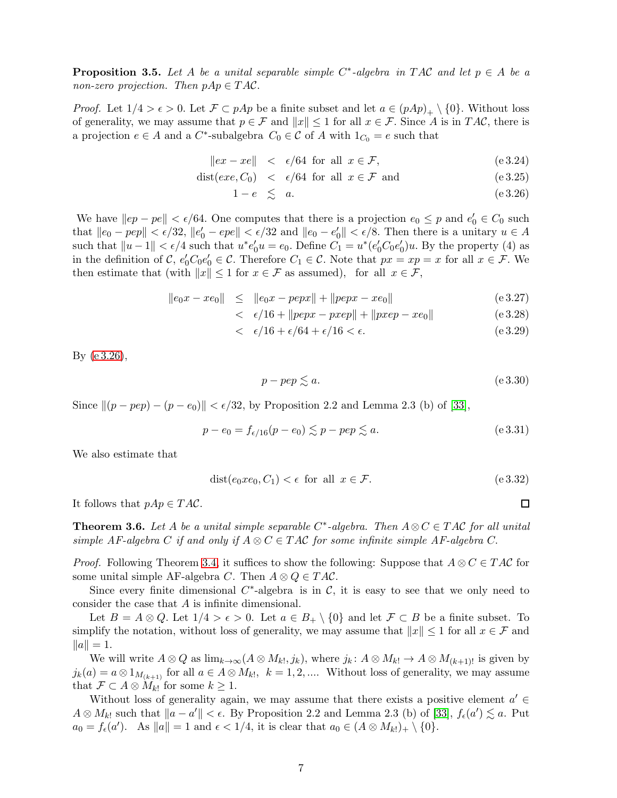<span id="page-6-1"></span>**Proposition 3.5.** Let A be a unital separable simple  $C^*$ -algebra in TAC and let  $p \in A$  be a non-zero projection. Then  $pAp \in TAC$ .

*Proof.* Let  $1/4 > \epsilon > 0$ . Let  $\mathcal{F} \subset pAp$  be a finite subset and let  $a \in (pAp)_{+} \setminus \{0\}$ . Without loss of generality, we may assume that  $p \in \mathcal{F}$  and  $||x|| \leq 1$  for all  $x \in \mathcal{F}$ . Since A is in TAC, there is a projection  $e \in A$  and a  $C^*$ -subalgebra  $C_0 \in \mathcal{C}$  of A with  $1_{C_0} = e$  such that

<span id="page-6-0"></span>
$$
\|ex - xe\| < \epsilon/64 \text{ for all } x \in \mathcal{F}, \tag{e.3.24}
$$

$$
dist(exe, C_0) < \epsilon/64 \text{ for all } x \in \mathcal{F} \text{ and } (e 3.25)
$$

$$
1 - e \leq a. \tag{e.3.26}
$$

We have  $||ep - pe|| < \epsilon/64$ . One computes that there is a projection  $e_0 \leq p$  and  $e'_0 \in C_0$  such that  $||e_0 - pep|| < \epsilon/32$ ,  $||e'_0 - epe|| < \epsilon/32$  and  $||e_0 - e'_0|| < \epsilon/8$ . Then there is a unitary  $u \in A$ such that  $||u-1|| < \epsilon/4$  such that  $u^*e'_0u = e_0$ . Define  $C_1 = u^*(e'_0C_0e'_0)u$ . By the property (4) as in the definition of C,  $e'_0C_0e'_0 \in \mathcal{C}$ . Therefore  $C_1 \in \mathcal{C}$ . Note that  $px = xp = x$  for all  $x \in \mathcal{F}$ . We then estimate that (with  $||x|| \leq 1$  for  $x \in \mathcal{F}$  as assumed), for all  $x \in \mathcal{F}$ ,

$$
\|e_0x - xe_0\| \le \|e_0x - pepx\| + \|pepx - xe_0\| \tag{e.3.27}
$$

$$
<\epsilon/16 + ||pepx - pxep|| + ||pxep - xe_0||
$$
 (e 3.28)

$$
<\epsilon/16 + \epsilon/64 + \epsilon/16 < \epsilon. \tag{e.3.29}
$$

By [\(e 3.26\)](#page-6-0),

$$
p - pep \lesssim a. \tag{e 3.30}
$$

Since  $\|(p - pep) - (p - e_0)\| < \epsilon/32$ , by Proposition 2.2 and Lemma 2.3 (b) of [\[33\]](#page-16-5),

$$
p - e_0 = f_{\epsilon/16}(p - e_0) \lesssim p - pep \lesssim a.
$$
 (e 3.31)

We also estimate that

$$
dist(e_0 x e_0, C_1) < \epsilon \text{ for all } x \in \mathcal{F}.\tag{e.3.32}
$$

It follows that  $pAp \in TAC$ .

<span id="page-6-2"></span>**Theorem 3.6.** Let A be a unital simple separable C<sup>\*</sup>-algebra. Then  $A \otimes C \in TAC$  for all unital simple AF-algebra C if and only if  $A \otimes C \in TAC$  for some infinite simple AF-algebra C.

*Proof.* Following Theorem [3.4,](#page-3-1) it suffices to show the following: Suppose that  $A \otimes C \in TAC$  for some unital simple AF-algebra C. Then  $A \otimes Q \in TAC$ .

Since every finite dimensional  $C^*$ -algebra is in  $C$ , it is easy to see that we only need to consider the case that A is infinite dimensional.

Let  $B = A \otimes Q$ . Let  $1/4 > \epsilon > 0$ . Let  $a \in B_+ \setminus \{0\}$  and let  $\mathcal{F} \subset B$  be a finite subset. To simplify the notation, without loss of generality, we may assume that  $||x|| \leq 1$  for all  $x \in \mathcal{F}$  and  $||a|| = 1.$ 

We will write  $A \otimes Q$  as  $\lim_{k \to \infty} (A \otimes M_{k!}, j_k)$ , where  $j_k: A \otimes M_{k!} \to A \otimes M_{(k+1)!}$  is given by  $j_k(a) = a \otimes 1_{M_{(k+1)}}$  for all  $a \in A \otimes M_{k!}$ ,  $k = 1, 2, \dots$  Without loss of generality, we may assume that  $\mathcal{F} \subset A \otimes M_{k!}$  for some  $k \geq 1$ .

Without loss of generality again, we may assume that there exists a positive element  $a' \in$  $A \otimes M_{k}$  such that  $||a - a'|| < \epsilon$ . By Proposition 2.2 and Lemma 2.3 (b) of [\[33\]](#page-16-5),  $f_{\epsilon}(a') \lesssim a$ . Put  $a_0 = f_{\epsilon}(a')$ . As  $||a|| = 1$  and  $\epsilon < 1/4$ , it is clear that  $a_0 \in (A \otimes M_{k!})_+ \setminus \{0\}$ .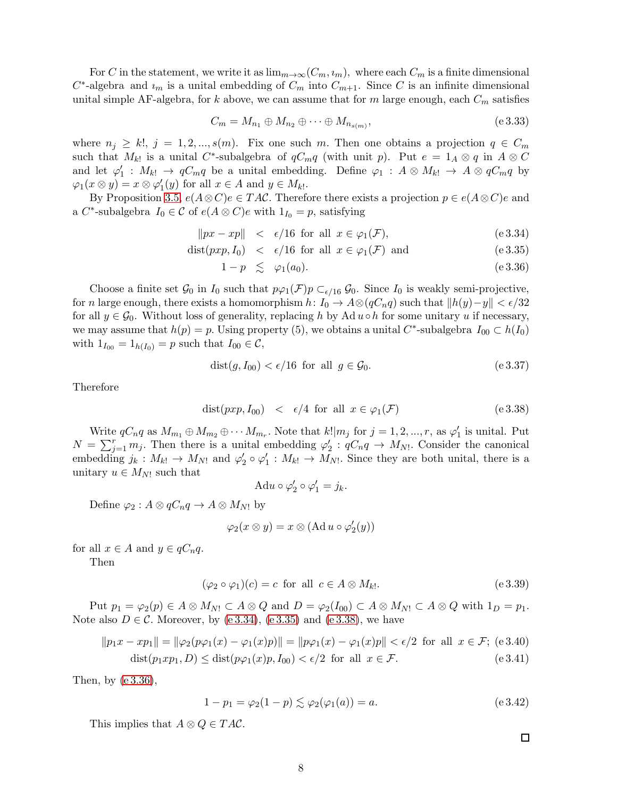For C in the statement, we write it as  $\lim_{m\to\infty}(C_m, i_m)$ , where each  $C_m$  is a finite dimensional  $C^*$ -algebra and  $i_m$  is a unital embedding of  $C_m$  into  $C_{m+1}$ . Since C is an infinite dimensional unital simple AF-algebra, for k above, we can assume that for m large enough, each  $C_m$  satisfies

$$
C_m = M_{n_1} \oplus M_{n_2} \oplus \cdots \oplus M_{n_{s(m)}},
$$
\n
$$
(e3.33)
$$

where  $n_j \geq k!$ ,  $j = 1, 2, ..., s(m)$ . Fix one such m. Then one obtains a projection  $q \in C_m$ such that  $M_{k!}$  is a unital C<sup>\*</sup>-subalgebra of  $qC_{m}q$  (with unit p). Put  $e = 1_A \otimes q$  in  $A \otimes C$ and let  $\varphi'_1$  :  $M_{k!} \to qC_mq$  be a unital embedding. Define  $\varphi_1$  :  $A \otimes M_{k!} \to A \otimes qC_mq$  by  $\varphi_1(x \otimes y) = x \otimes \varphi'_1(y)$  for all  $x \in A$  and  $y \in M_{k!}$ .

By Proposition [3.5,](#page-6-1)  $e(A \otimes C)e \in TAC$ . Therefore there exists a projection  $p \in e(A \otimes C)e$  and a C<sup>\*</sup>-subalgebra  $I_0 \in \mathcal{C}$  of  $e(A \otimes C)e$  with  $1_{I_0} = p$ , satisfying

<span id="page-7-0"></span>
$$
||px - xp|| < \epsilon/16 \text{ for all } x \in \varphi_1(\mathcal{F}), \tag{e.3.34}
$$

$$
dist(pxp, I_0) < \epsilon/16 \text{ for all } x \in \varphi_1(\mathcal{F}) \text{ and } (e 3.35)
$$

$$
1 - p \leq \varphi_1(a_0). \tag{e.3.36}
$$

Choose a finite set  $\mathcal{G}_0$  in  $I_0$  such that  $p\varphi_1(\mathcal{F})p \subset_{\epsilon/16} \mathcal{G}_0$ . Since  $I_0$  is weakly semi-projective, for n large enough, there exists a homomorphism  $h: I_0 \to A\otimes (qC_nq)$  such that  $||h(y)-y|| < \epsilon/32$ for all  $y \in \mathcal{G}_0$ . Without loss of generality, replacing h by Ad  $u \circ h$  for some unitary u if necessary, we may assume that  $h(p) = p$ . Using property (5), we obtains a unital C<sup>\*</sup>-subalgebra  $I_{00} \subset h(I_0)$ with  $1_{I_{00}} = 1_{h(I_0)} = p$  such that  $I_{00} \in \mathcal{C}$ ,

$$
dist(g, I_{00}) < \epsilon/16 \text{ for all } g \in \mathcal{G}_0. \tag{e.3.37}
$$

Therefore

<span id="page-7-1"></span>
$$
dist(pxp, I_{00}) < \epsilon/4 \text{ for all } x \in \varphi_1(\mathcal{F})
$$
 (e 3.38)

Write  $qC_nq$  as  $M_{m_1} \oplus M_{m_2} \oplus \cdots M_{m_r}$ . Note that  $k!|m_j$  for  $j = 1, 2, ..., r$ , as  $\varphi'_1$  is unital. Put  $N = \sum_{j=1}^{r} m_j$ . Then there is a unital embedding  $\varphi'_2$ :  $qC_nq \to M_N$ . Consider the canonical embedding  $j_k: M_{k!} \to M_{N!}$  and  $\varphi'_2 \circ \varphi'_1: M_{k!} \to M_{N!}$ . Since they are both unital, there is a unitary  $u \in M_{N!}$  such that

$$
\mathrm{Ad}u \circ \varphi_2' \circ \varphi_1' = j_k.
$$

Define  $\varphi_2 : A \otimes qC_nq \to A \otimes M_{N!}$  by

$$
\varphi_2(x \otimes y) = x \otimes (\mathrm{Ad}\,{u \circ \varphi'_2(y)})
$$

for all  $x \in A$  and  $y \in qC_nq$ .

Then

$$
(\varphi_2 \circ \varphi_1)(c) = c \text{ for all } c \in A \otimes M_{k!}.
$$
 (e 3.39)

Put  $p_1 = \varphi_2(p) \in A \otimes M_{N!} \subset A \otimes Q$  and  $D = \varphi_2(I_{00}) \subset A \otimes M_{N!} \subset A \otimes Q$  with  $1_D = p_1$ . Note also  $D \in \mathcal{C}$ . Moreover, by [\(e 3.34\)](#page-7-0), [\(e 3.35\)](#page-7-0) and [\(e 3.38\)](#page-7-1), we have

$$
||p_1x - xp_1|| = ||\varphi_2(p\varphi_1(x) - \varphi_1(x)p)|| = ||p\varphi_1(x) - \varphi_1(x)p|| < \epsilon/2 \text{ for all } x \in \mathcal{F}; \text{ (e 3.40)}
$$
  
dist $(p_1xp_1, D) \leq \text{dist}(p\varphi_1(x)p, I_{00}) < \epsilon/2 \text{ for all } x \in \mathcal{F}.$  (e 3.41)

Then, by [\(e 3.36\)](#page-7-0),

$$
1 - p_1 = \varphi_2(1 - p) \lesssim \varphi_2(\varphi_1(a)) = a.
$$
 (e 3.42)

This implies that  $A \otimes Q \in TAC$ .

□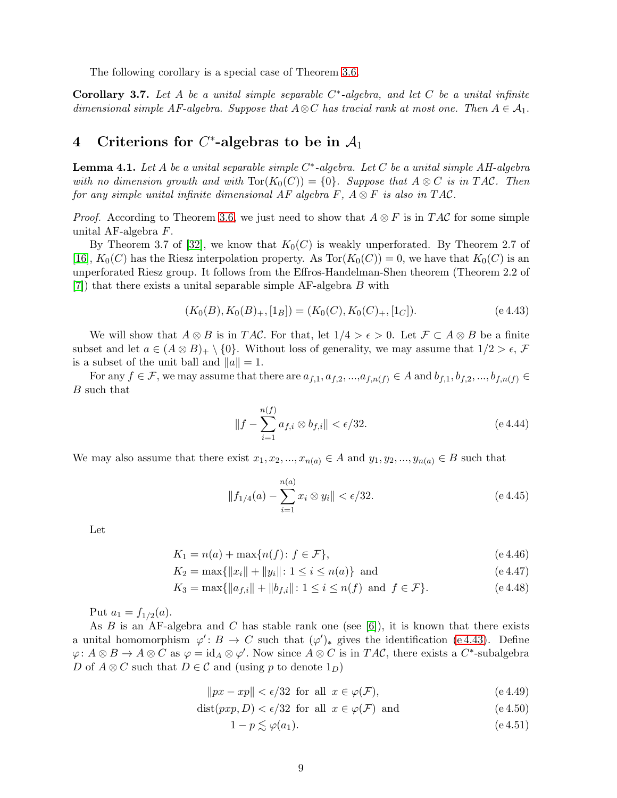The following corollary is a special case of Theorem [3.6.](#page-6-2)

<span id="page-8-4"></span>Corollary 3.7. Let A be a unital simple separable  $C^*$ -algebra, and let C be a unital infinite dimensional simple AF-algebra. Suppose that  $A\otimes C$  has tracial rank at most one. Then  $A\in\mathcal{A}_1$ .

## 4 Criterions for  $C^*$ -algebras to be in  $\mathcal{A}_1$

<span id="page-8-3"></span>**Lemma 4.1.** Let A be a unital separable simple  $C^*$ -algebra. Let C be a unital simple AH-algebra with no dimension growth and with  $\text{Tor}(K_0(C)) = \{0\}$ . Suppose that  $A \otimes C$  is in TAC. Then for any simple unital infinite dimensional AF algebra F,  $A \otimes F$  is also in TAC.

*Proof.* According to Theorem [3.6,](#page-6-2) we just need to show that  $A \otimes F$  is in TAC for some simple unital AF-algebra F.

By Theorem 3.7 of [\[32\]](#page-16-6), we know that  $K_0(C)$  is weakly unperforated. By Theorem 2.7 of [\[16\]](#page-15-7),  $K_0(C)$  has the Riesz interpolation property. As  $Tor(K_0(C)) = 0$ , we have that  $K_0(C)$  is an unperforated Riesz group. It follows from the Effros-Handelman-Shen theorem (Theorem 2.2 of [\[7\]](#page-15-8)) that there exists a unital separable simple AF-algebra B with

$$
(K_0(B), K_0(B)_+, [1_B]) = (K_0(C), K_0(C)_+, [1_C]).
$$
\n
$$
(e 4.43)
$$

We will show that  $A \otimes B$  is in TAC. For that, let  $1/4 > \epsilon > 0$ . Let  $\mathcal{F} \subset A \otimes B$  be a finite subset and let  $a \in (A \otimes B)_{+} \setminus \{0\}$ . Without loss of generality, we may assume that  $1/2 > \epsilon$ , F is a subset of the unit ball and  $||a|| = 1$ .

For any  $f \in \mathcal{F}$ , we may assume that there are  $a_{f,1}, a_{f,2},...,a_{f,n(f)} \in A$  and  $b_{f,1}, b_{f,2},...,b_{f,n(f)} \in A$ B such that

<span id="page-8-1"></span><span id="page-8-0"></span>
$$
||f - \sum_{i=1}^{n(f)} a_{f,i} \otimes b_{f,i}|| < \epsilon/32.
$$
 (e 4.44)

We may also assume that there exist  $x_1, x_2, ..., x_{n(a)} \in A$  and  $y_1, y_2, ..., y_{n(a)} \in B$  such that

$$
||f_{1/4}(a) - \sum_{i=1}^{n(a)} x_i \otimes y_i|| < \epsilon/32.
$$
 (e 4.45)

Let

$$
K_1 = n(a) + \max\{n(f) : f \in \mathcal{F}\},\tag{e.4.46}
$$

$$
K_2 = \max\{\|x_i\| + \|y_i\| \colon 1 \le i \le n(a)\} \text{ and } \tag{e.4.47}
$$

$$
K_3 = \max\{\|a_{f,i}\| + \|b_{f,i}\| \colon 1 \le i \le n(f) \text{ and } f \in \mathcal{F}\}.
$$
\n(e.4.48)

Put  $a_1 = f_{1/2}(a)$ .

As  $B$  is an AF-algebra and  $C$  has stable rank one (see [\[6\]](#page-15-9)), it is known that there exists a unital homomorphism  $\varphi' : B \to C$  such that  $(\varphi')_*$  gives the identification (e.4.43). Define  $\varphi: A \otimes B \to A \otimes C$  as  $\varphi = id_A \otimes \varphi'$ . Now since  $A \otimes C$  is in  $T A C$ , there exists a  $C^*$ -subalgebra D of  $A \otimes C$  such that  $D \in \mathcal{C}$  and (using p to denote  $1_D$ )

$$
||px - xp|| < \epsilon/32 \text{ for all } x \in \varphi(\mathcal{F}), \tag{e.4.49}
$$

$$
dist(pxp, D) < \epsilon/32 \text{ for all } x \in \varphi(\mathcal{F}) \text{ and} \tag{e.4.50}
$$

<span id="page-8-2"></span> $1 - p \leq \varphi(a_1).$  (e 4.51)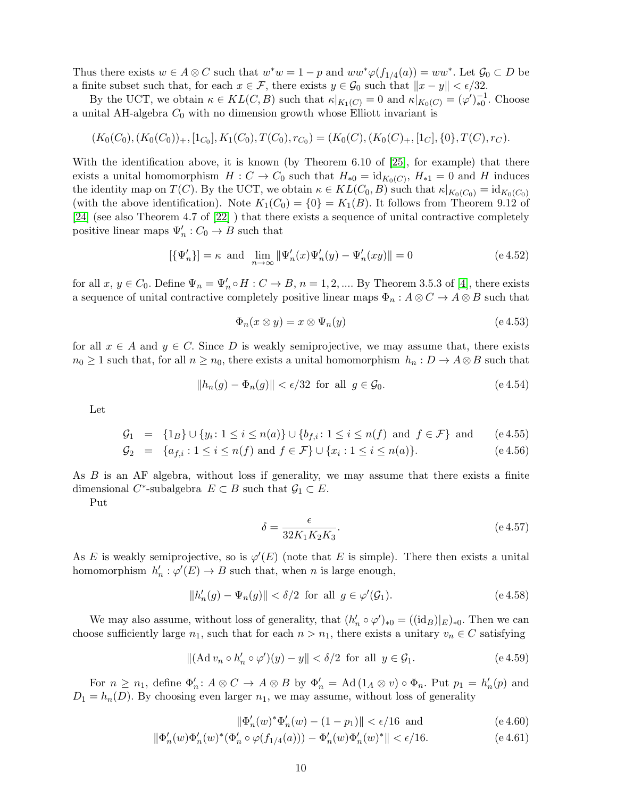Thus there exists  $w \in A \otimes C$  such that  $w^*w = 1 - p$  and  $ww^*\varphi(f_{1/4}(a)) = ww^*$ . Let  $\mathcal{G}_0 \subset D$  be a finite subset such that, for each  $x \in \mathcal{F}$ , there exists  $y \in \mathcal{G}_0$  such that  $||x - y|| < \epsilon/32$ .

By the UCT, we obtain  $\kappa \in KL(C, B)$  such that  $\kappa|_{K_1(C)} = 0$  and  $\kappa|_{K_0(C)} = (\varphi')_{*0}^{-1}$ . Choose a unital AH-algebra  $C_0$  with no dimension growth whose Elliott invariant is

$$
(K_0(C_0), (K_0(C_0))_+, [1_{C_0}], K_1(C_0), T(C_0), r_{C_0}) = (K_0(C), (K_0(C)_+, [1_C], \{0\}, T(C), r_C).
$$

With the identification above, it is known (by Theorem 6.10 of [\[25\]](#page-16-7), for example) that there exists a unital homomorphism  $H: C \to C_0$  such that  $H_{*0} = id_{K_0(C)}$ ,  $H_{*1} = 0$  and H induces the identity map on  $T(C)$ . By the UCT, we obtain  $\kappa \in KL(C_0, B)$  such that  $\kappa|_{K_0(C_0)} = id_{K_0(C_0)}$ (with the above identification). Note  $K_1(C_0) = \{0\} = K_1(B)$ . It follows from Theorem 9.12 of [\[24\]](#page-16-8) (see also Theorem 4.7 of [\[22\]](#page-15-10) ) that there exists a sequence of unital contractive completely positive linear maps  $\Psi'_n : C_0 \to B$  such that

$$
[\{\Psi'_n\}] = \kappa \text{ and } \lim_{n \to \infty} \|\Psi'_n(x)\Psi'_n(y) - \Psi'_n(xy)\| = 0 \qquad (\text{e 4.52})
$$

for all  $x, y \in C_0$ . Define  $\Psi_n = \Psi'_n \circ H : C \to B$ ,  $n = 1, 2, \dots$  By Theorem 3.5.3 of [\[4\]](#page-15-11), there exists a sequence of unital contractive completely positive linear maps  $\Phi_n$ :  $A \otimes C \to A \otimes B$  such that

$$
\Phi_n(x \otimes y) = x \otimes \Psi_n(y) \tag{e.4.53}
$$

for all  $x \in A$  and  $y \in C$ . Since D is weakly semiprojective, we may assume that, there exists  $n_0 \geq 1$  such that, for all  $n \geq n_0$ , there exists a unital homomorphism  $h_n : D \to A \otimes B$  such that

<span id="page-9-1"></span>
$$
||h_n(g) - \Phi_n(g)|| < \epsilon/32 \text{ for all } g \in \mathcal{G}_0. \tag{e.4.54}
$$

Let

$$
G_1 = \{1_B\} \cup \{y_i \colon 1 \le i \le n(a)\} \cup \{b_{f,i} \colon 1 \le i \le n(f) \text{ and } f \in \mathcal{F}\} \text{ and } (e \cdot 4.55)
$$

$$
\mathcal{G}_2 = \{a_{f,i} : 1 \le i \le n(f) \text{ and } f \in \mathcal{F}\} \cup \{x_i : 1 \le i \le n(a)\}. \tag{e.4.56}
$$

As B is an AF algebra, without loss if generality, we may assume that there exists a finite dimensional  $C^*$ -subalgebra  $E \subset B$  such that  $\mathcal{G}_1 \subset E$ .

Put

$$
\delta = \frac{\epsilon}{32K_1K_2K_3}.\tag{e.4.57}
$$

As E is weakly semiprojective, so is  $\varphi'(E)$  (note that E is simple). There then exists a unital homomorphism  $h'_n : \varphi'(E) \to B$  such that, when n is large enough,

$$
||h'_n(g) - \Psi_n(g)|| < \delta/2 \text{ for all } g \in \varphi'(\mathcal{G}_1).
$$
 (e.4.58)

We may also assume, without loss of generality, that  $(h'_n \circ \varphi')_{*0} = ((id_B)|_E)_{*0}$ . Then we can choose sufficiently large  $n_1$ , such that for each  $n > n_1$ , there exists a unitary  $v_n \in C$  satisfying

$$
\|(\mathrm{Ad}\,v_n \circ h'_n \circ \varphi')(y) - y\| < \delta/2 \quad \text{for all} \quad y \in \mathcal{G}_1. \tag{e.4.59}
$$

For  $n \ge n_1$ , define  $\Phi'_n: A \otimes C \to A \otimes B$  by  $\Phi'_n = \text{Ad}(1_A \otimes v) \circ \Phi_n$ . Put  $p_1 = h'_n(p)$  and  $D_1 = h_n(D)$ . By choosing even larger  $n_1$ , we may assume, without loss of generality

<span id="page-9-2"></span><span id="page-9-0"></span>
$$
\|\Phi_n'(w)^*\Phi_n'(w) - (1 - p_1)\| < \epsilon/16 \text{ and} \tag{e.4.60}
$$

$$
\|\Phi_n'(w)\Phi_n'(w)^*(\Phi_n'\circ\varphi(f_{1/4}(a)))-\Phi_n'(w)\Phi_n'(w)^*\|<\epsilon/16. \tag{e.4.61}
$$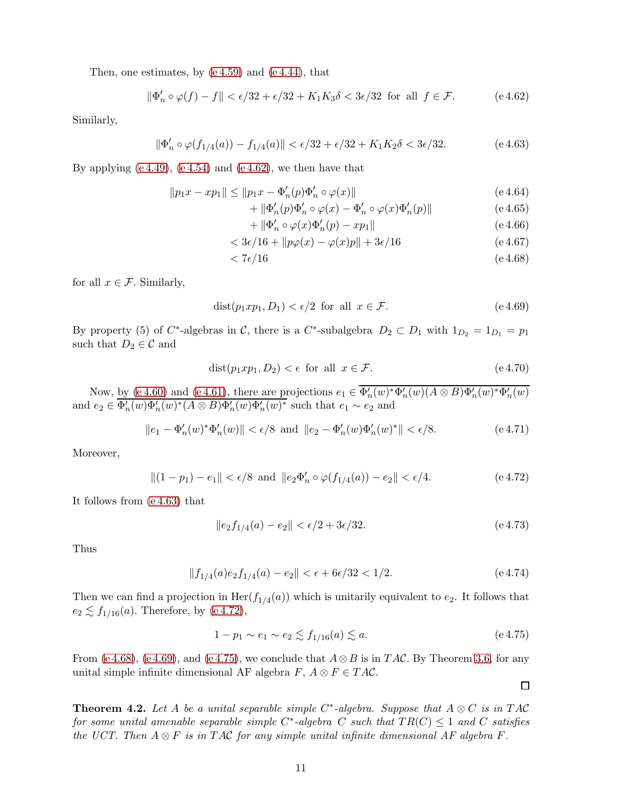Then, one estimates, by [\(e 4.59\)](#page-9-0) and [\(e 4.44\)](#page-8-1), that

$$
\|\Phi_n' \circ \varphi(f) - f\| < \epsilon/32 + \epsilon/32 + K_1 K_3 \delta < 3\epsilon/32 \text{ for all } f \in \mathcal{F}.\tag{e.4.62}
$$

Similarly,

$$
\|\Phi'_n \circ \varphi(f_{1/4}(a)) - f_{1/4}(a)\| < \epsilon/32 + \epsilon/32 + K_1K_2\delta < 3\epsilon/32. \tag{e.4.63}
$$

By applying  $(e 4.49)$ ,  $(e 4.54)$  and  $(e 4.62)$ , we then have that

$$
||p_1x - xp_1|| \le ||p_1x - \Phi'_n(p)\Phi'_n \circ \varphi(x)|| \tag{e.4.64}
$$

$$
+ \| \Phi_n'(p) \Phi_n' \circ \varphi(x) - \Phi_n' \circ \varphi(x) \Phi_n'(p) \| \tag{e.4.65}
$$

<span id="page-10-4"></span><span id="page-10-3"></span><span id="page-10-1"></span><span id="page-10-0"></span>
$$
+ \|\Phi_n' \circ \varphi(x)\Phi_n'(p) - xp_1\|
$$
\n<sup>(e.4.66)</sup>

$$
\langle 3\epsilon/16 + ||p\varphi(x) - \varphi(x)p|| + 3\epsilon/16 \tag{e.4.67}
$$

$$
<7\epsilon/16\tag{e.4.68}
$$

for all  $x \in \mathcal{F}$ . Similarly,

$$
dist(p_1 x p_1, D_1) < \epsilon/2 \text{ for all } x \in \mathcal{F}.\tag{e.4.69}
$$

By property (5) of C<sup>\*</sup>-algebras in C, there is a C<sup>\*</sup>-subalgebra  $D_2 \subset D_1$  with  $1_{D_2} = 1_{D_1} = p_1$ such that  $D_2 \in \mathcal{C}$  and

$$
dist(p_1 x p_1, D_2) < \epsilon \text{ for all } x \in \mathcal{F}.\tag{e.4.70}
$$

Now, by [\(e 4.60\)](#page-9-2) and [\(e 4.61\)](#page-9-2), there are projections  $e_1 \in \overline{\Phi'_n(w)}^* \Phi'_n(w) (A \otimes B) \Phi'_n(w)^* \Phi'_n(w)$ and  $e_2 \in \overline{\Phi'_n(w)\Phi'_n(w)^*(A \otimes B)\Phi'_n(w)\Phi'_n(w)^*}$  such that  $e_1 \sim e_2$  and

$$
||e_1 - \Phi'_n(w)^* \Phi'_n(w)|| < \epsilon/8 \text{ and } ||e_2 - \Phi'_n(w) \Phi'_n(w)^*|| < \epsilon/8.
$$
 (e.4.71)

Moreover,

<span id="page-10-2"></span>
$$
||(1-p_1)-e_1|| < \epsilon/8
$$
 and  $||e_2\Phi'_n \circ \varphi(f_{1/4}(a)) - e_2|| < \epsilon/4.$  (e 4.72)

It follows from [\(e 4.63\)](#page-10-1) that

$$
||e_2 f_{1/4}(a) - e_2|| < \epsilon/2 + 3\epsilon/32. \tag{e.4.73}
$$

Thus

$$
||f_{1/4}(a)e_2f_{1/4}(a) - e_2|| < \epsilon + 6\epsilon/32 < 1/2.
$$
 (e 4.74)

Then we can find a projection in  $\text{Her}(f_{1/4}(a))$  which is unitarily equivalent to  $e_2$ . It follows that  $e_2 \lesssim f_{1/16}(a)$ . Therefore, by [\(e 4.72\)](#page-10-2),

<span id="page-10-5"></span>
$$
1 - p_1 \sim e_1 \sim e_2 \lesssim f_{1/16}(a) \lesssim a. \tag{e.4.75}
$$

From [\(e 4.68\)](#page-10-3), [\(e 4.69\)](#page-10-4), and [\(e 4.75\)](#page-10-5), we conclude that  $A \otimes B$  is in TAC. By Theorem [3.6,](#page-6-2) for any unital simple infinite dimensional AF algebra  $F, A \otimes F \in TAC$ .

<span id="page-10-6"></span>**Theorem 4.2.** Let A be a unital separable simple C<sup>\*</sup>-algebra. Suppose that  $A \otimes C$  is in TAC for some unital amenable separable simple C<sup>\*</sup>-algebra C such that  $TR(C) \leq 1$  and C satisfies the UCT. Then  $A \otimes F$  is in TAC for any simple unital infinite dimensional AF algebra F.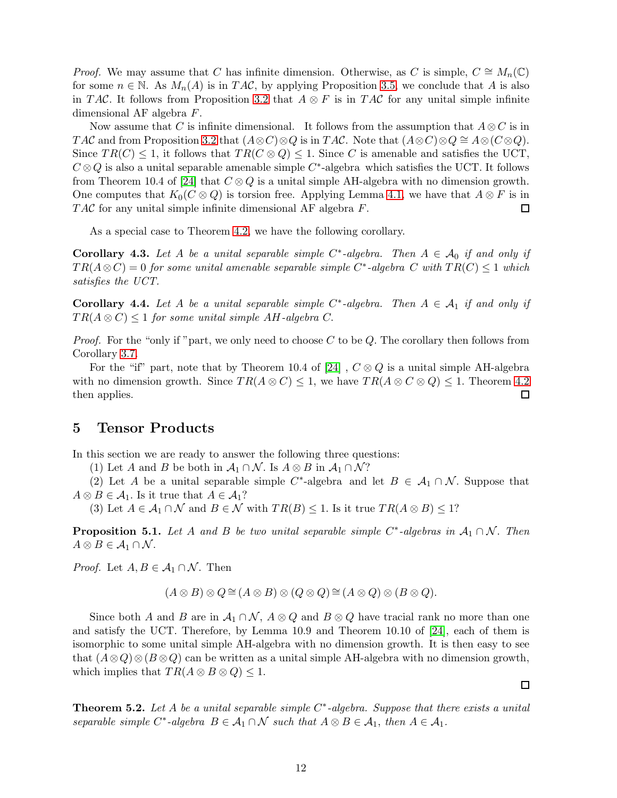*Proof.* We may assume that C has infinite dimension. Otherwise, as C is simple,  $C \cong M_n(\mathbb{C})$ for some  $n \in \mathbb{N}$ . As  $M_n(A)$  is in TAC, by applying Proposition [3.5,](#page-6-1) we conclude that A is also in TAC. It follows from Proposition [3.2](#page-2-0) that  $A \otimes F$  is in TAC for any unital simple infinite dimensional AF algebra F.

Now assume that C is infinite dimensional. It follows from the assumption that  $A \otimes C$  is in TAC and from Proposition [3.2](#page-2-0) that  $(A \otimes C) \otimes Q$  is in TAC. Note that  $(A \otimes C) \otimes Q \cong A \otimes (C \otimes Q)$ . Since  $TR(C) \leq 1$ , it follows that  $TR(C \otimes Q) \leq 1$ . Since C is amenable and satisfies the UCT,  $C \otimes Q$  is also a unital separable amenable simple  $C^*$ -algebra which satisfies the UCT. It follows from Theorem 10.4 of [\[24\]](#page-16-8) that  $C \otimes Q$  is a unital simple AH-algebra with no dimension growth. One computes that  $K_0(C \otimes Q)$  is torsion free. Applying Lemma [4.1,](#page-8-3) we have that  $A \otimes F$  is in  $TAC$  for any unital simple infinite dimensional AF algebra  $F$ .  $\Box$ 

As a special case to Theorem [4.2,](#page-10-6) we have the following corollary.

**Corollary 4.3.** Let A be a unital separable simple  $C^*$ -algebra. Then  $A \in \mathcal{A}_0$  if and only if  $TR(A \otimes C) = 0$  for some unital amenable separable simple C<sup>\*</sup>-algebra C with  $TR(C) \leq 1$  which satisfies the UCT.

<span id="page-11-1"></span>**Corollary 4.4.** Let A be a unital separable simple  $C^*$ -algebra. Then  $A \in \mathcal{A}_1$  if and only if  $TR(A \otimes C) \leq 1$  for some unital simple AH-algebra C.

*Proof.* For the "only if "part, we only need to choose C to be Q. The corollary then follows from Corollary [3.7.](#page-8-4)

For the "if" part, note that by Theorem 10.4 of [\[24\]](#page-16-8),  $C \otimes Q$  is a unital simple AH-algebra with no dimension growth. Since  $TR(A \otimes C) \leq 1$ , we have  $TR(A \otimes C \otimes Q) \leq 1$ . Theorem [4.2](#page-10-6) then applies. □

### 5 Tensor Products

In this section we are ready to answer the following three questions:

(1) Let A and B be both in  $\mathcal{A}_1 \cap \mathcal{N}$ . Is  $A \otimes B$  in  $\mathcal{A}_1 \cap \mathcal{N}$ ?

(2) Let A be a unital separable simple C<sup>\*</sup>-algebra and let  $B \in A_1 \cap N$ . Suppose that  $A \otimes B \in \mathcal{A}_1$ . Is it true that  $A \in \mathcal{A}_1$ ?

(3) Let  $A \in \mathcal{A}_1 \cap \mathcal{N}$  and  $B \in \mathcal{N}$  with  $TR(B) \leq 1$ . Is it true  $TR(A \otimes B) \leq 1$ ?

<span id="page-11-0"></span>**Proposition 5.1.** Let A and B be two unital separable simple C<sup>\*</sup>-algebras in  $A_1 \cap N$ . Then  $A \otimes B \in \mathcal{A}_1 \cap \mathcal{N}$ .

*Proof.* Let  $A, B \in \mathcal{A}_1 \cap \mathcal{N}$ . Then

$$
(A \otimes B) \otimes Q \cong (A \otimes B) \otimes (Q \otimes Q) \cong (A \otimes Q) \otimes (B \otimes Q).
$$

Since both A and B are in  $\mathcal{A}_1 \cap \mathcal{N}$ ,  $A \otimes Q$  and  $B \otimes Q$  have tracial rank no more than one and satisfy the UCT. Therefore, by Lemma 10.9 and Theorem 10.10 of [\[24\]](#page-16-8), each of them is isomorphic to some unital simple AH-algebra with no dimension growth. It is then easy to see that  $(A\otimes Q)\otimes (B\otimes Q)$  can be written as a unital simple AH-algebra with no dimension growth, which implies that  $TR(A \otimes B \otimes Q) \leq 1$ .

**Theorem 5.2.** Let A be a unital separable simple  $C^*$ -algebra. Suppose that there exists a unital separable simple C<sup>\*</sup>-algebra  $B \in \mathcal{A}_1 \cap \mathcal{N}$  such that  $A \otimes B \in \mathcal{A}_1$ , then  $A \in \mathcal{A}_1$ .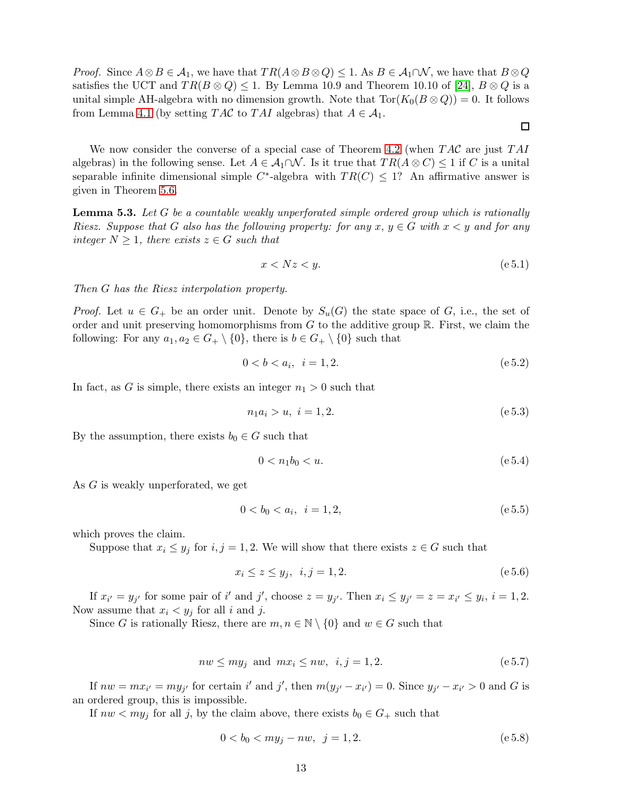*Proof.* Since  $A \otimes B \in \mathcal{A}_1$ , we have that  $TR(A \otimes B \otimes Q) \leq 1$ . As  $B \in \mathcal{A}_1 \cap \mathcal{N}$ , we have that  $B \otimes Q$ satisfies the UCT and  $TR(B \otimes Q) \leq 1$ . By Lemma 10.9 and Theorem 10.10 of [\[24\]](#page-16-8),  $B \otimes Q$  is a unital simple AH-algebra with no dimension growth. Note that  $\text{Tor}(K_0(B\otimes Q)) = 0$ . It follows from Lemma [4.1](#page-8-3) (by setting TAC to TAI algebras) that  $A \in \mathcal{A}_1$ .

We now consider the converse of a special case of Theorem [4.2](#page-10-6) (when  $T A C$  are just  $T A I$ algebras) in the following sense. Let  $A \in \mathcal{A}_1 \cap \mathcal{N}$ . Is it true that  $TR(A \otimes C) \leq 1$  if C is a unital separable infinite dimensional simple C<sup>\*</sup>-algebra with  $TR(C) \leq 1$ ? An affirmative answer is given in Theorem [5.6.](#page-14-1)

<span id="page-12-0"></span>**Lemma 5.3.** Let G be a countable weakly unperforated simple ordered group which is rationally Riesz. Suppose that G also has the following property: for any  $x, y \in G$  with  $x \leq y$  and for any integer  $N \geq 1$ , there exists  $z \in G$  such that

$$
x < Nz < y. \tag{e.5.1}
$$

 $\Box$ 

Then G has the Riesz interpolation property.

*Proof.* Let  $u \in G_+$  be an order unit. Denote by  $S_u(G)$  the state space of G, i.e., the set of order and unit preserving homomorphisms from  $G$  to the additive group  $\mathbb{R}$ . First, we claim the following: For any  $a_1, a_2 \in G_+ \setminus \{0\}$ , there is  $b \in G_+ \setminus \{0\}$  such that

$$
0 < b < a_i, \ \ i = 1, 2. \tag{e.5.2}
$$

In fact, as G is simple, there exists an integer  $n_1 > 0$  such that

$$
n_1 a_i > u, \ i = 1, 2. \tag{e.5.3}
$$

By the assumption, there exists  $b_0 \in G$  such that

$$
0 < n_1 b_0 < u. \tag{e.5.4}
$$

As G is weakly unperforated, we get

$$
0 < b_0 < a_i, \ \ i = 1, 2,\tag{e.5.5}
$$

which proves the claim.

Suppose that  $x_i \leq y_j$  for  $i, j = 1, 2$ . We will show that there exists  $z \in G$  such that

$$
x_i \le z \le y_j, \ \ i, j = 1, 2. \tag{e.5.6}
$$

If  $x_{i'} = y_{j'}$  for some pair of i' and j', choose  $z = y_{j'}$ . Then  $x_i \le y_{j'} = z = x_{i'} \le y_i$ ,  $i = 1, 2$ . Now assume that  $x_i \leq y_j$  for all i and j.

Since G is rationally Riesz, there are  $m, n \in \mathbb{N} \setminus \{0\}$  and  $w \in G$  such that

$$
nw \le my_j \text{ and } mx_i \le nw, \ i, j = 1, 2. \tag{e.5.7}
$$

If  $nw = mx_{i'} = my_{j'}$  for certain i' and j', then  $m(y_{j'} - x_{i'}) = 0$ . Since  $y_{j'} - x_{i'} > 0$  and G is an ordered group, this is impossible.

If  $nw < my_j$  for all j, by the claim above, there exists  $b_0 \in G_+$  such that

$$
0 < b_0 < my_j - nw, \ \ j = 1, 2. \tag{e.5.8}
$$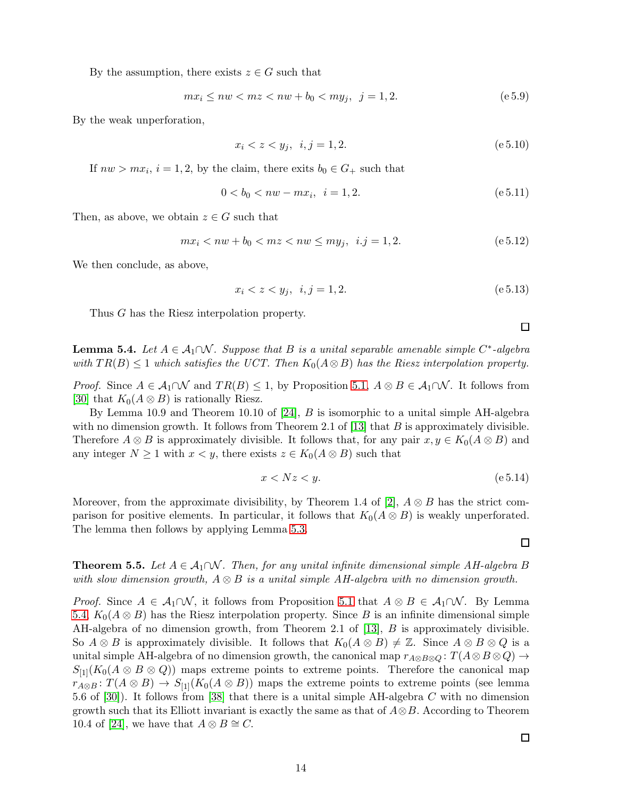By the assumption, there exists  $z \in G$  such that

$$
mx_i \le nw < mz < nw + b_0 < my_j, \ \ j = 1, 2. \tag{e.5.9}
$$

By the weak unperforation,

$$
x_i < z < y_j, \ \ i, j = 1, 2. \tag{e 5.10}
$$

If  $nw > mx_i$ ,  $i = 1, 2$ , by the claim, there exits  $b_0 \in G_+$  such that

$$
0 < b_0 < nw - mx_i, \ \ i = 1, 2. \tag{e.5.11}
$$

Then, as above, we obtain  $z \in G$  such that

$$
mx_i < nw + b_0 < mz < nw \le my_j, \ \ i. j = 1, 2. \tag{e.5.12}
$$

We then conclude, as above,

$$
x_i < z < y_j, \ \ i, j = 1, 2. \tag{e.5.13}
$$

Thus G has the Riesz interpolation property.

<span id="page-13-0"></span>**Lemma 5.4.** Let  $A \in \mathcal{A}_1 \cap \mathcal{N}$ . Suppose that B is a unital separable amenable simple C<sup>\*</sup>-algebra with  $TR(B) \leq 1$  which satisfies the UCT. Then  $K_0(A \otimes B)$  has the Riesz interpolation property.

*Proof.* Since  $A \in \mathcal{A}_1 \cap \mathcal{N}$  and  $TR(B) \leq 1$ , by Proposition [5.1,](#page-11-0)  $A \otimes B \in \mathcal{A}_1 \cap \mathcal{N}$ . It follows from [\[30\]](#page-16-4) that  $K_0(A \otimes B)$  is rationally Riesz.

By Lemma 10.9 and Theorem 10.10 of [\[24\]](#page-16-8), B is isomorphic to a unital simple AH-algebra with no dimension growth. It follows from Theorem 2.1 of [\[13\]](#page-15-12) that  $B$  is approximately divisible. Therefore  $A \otimes B$  is approximately divisible. It follows that, for any pair  $x, y \in K_0(A \otimes B)$  and any integer  $N \geq 1$  with  $x < y$ , there exists  $z \in K_0(A \otimes B)$  such that

$$
x < Nz < y. \tag{e 5.14}
$$

Moreover, from the approximate divisibility, by Theorem 1.4 of [\[2\]](#page-14-0),  $A \otimes B$  has the strict comparison for positive elements. In particular, it follows that  $K_0(A \otimes B)$  is weakly unperforated. The lemma then follows by applying Lemma [5.3.](#page-12-0)

<span id="page-13-1"></span>**Theorem 5.5.** Let  $A \in \mathcal{A}_1 \cap \mathcal{N}$ . Then, for any unital infinite dimensional simple AH-algebra B with slow dimension growth,  $A \otimes B$  is a unital simple AH-algebra with no dimension growth.

*Proof.* Since  $A \in A_1 \cap \mathcal{N}$ , it follows from Proposition [5.1](#page-11-0) that  $A \otimes B \in A_1 \cap \mathcal{N}$ . By Lemma [5.4,](#page-13-0)  $K_0(A \otimes B)$  has the Riesz interpolation property. Since B is an infinite dimensional simple AH-algebra of no dimension growth, from Theorem 2.1 of [\[13\]](#page-15-12), B is approximately divisible. So  $A \otimes B$  is approximately divisible. It follows that  $K_0(A \otimes B) \neq \mathbb{Z}$ . Since  $A \otimes B \otimes Q$  is a unital simple AH-algebra of no dimension growth, the canonical map  $r_{A\otimes B\otimes Q}$ :  $T(A\otimes B\otimes Q)\rightarrow$  $S_{11}(K_0(A \otimes B \otimes Q))$  maps extreme points to extreme points. Therefore the canonical map  $r_{A\otimes B}$ :  $T(A\otimes B)\to S_{[1]}(K_0(A\otimes B))$  maps the extreme points to extreme points (see lemma 5.6 of [\[30\]](#page-16-4)). It follows from [\[38\]](#page-16-9) that there is a unital simple AH-algebra C with no dimension growth such that its Elliott invariant is exactly the same as that of  $A \otimes B$ . According to Theorem 10.4 of [\[24\]](#page-16-8), we have that  $A \otimes B \cong C$ .

 $\Box$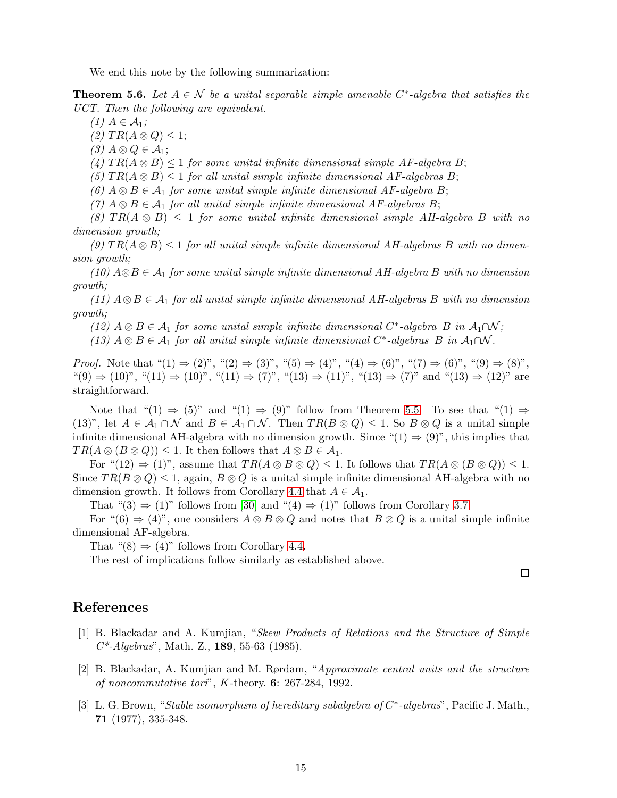We end this note by the following summarization:

<span id="page-14-1"></span>**Theorem 5.6.** Let  $A \in \mathcal{N}$  be a unital separable simple amenable  $C^*$ -algebra that satisfies the UCT. Then the following are equivalent.

 $(1)$   $A \in \mathcal{A}_1;$ 

 $(2)$   $TR(A \otimes Q) \leq 1;$ 

 $(3)$   $A \otimes Q \in \mathcal{A}_1;$ 

(4)  $TR(A \otimes B) \leq 1$  for some unital infinite dimensional simple AF-algebra B;

(5)  $TR(A \otimes B) \leq 1$  for all unital simple infinite dimensional AF-algebras B;

(6)  $A \otimes B \in \mathcal{A}_1$  for some unital simple infinite dimensional AF-algebra B;

(7)  $A \otimes B \in \mathcal{A}_1$  for all unital simple infinite dimensional AF-algebras B;

(8)  $TR(A \otimes B) \leq 1$  for some unital infinite dimensional simple AH-algebra B with no dimension growth;

(9)  $TR(A \otimes B) \leq 1$  for all unital simple infinite dimensional AH-algebras B with no dimension growth;

(10)  $A\otimes B \in \mathcal{A}_1$  for some unital simple infinite dimensional AH-algebra B with no dimension growth;

(11)  $A \otimes B \in \mathcal{A}_1$  for all unital simple infinite dimensional AH-algebras B with no dimension growth;

(12)  $A \otimes B \in \mathcal{A}_1$  for some unital simple infinite dimensional  $C^*$ -algebra  $B$  in  $\mathcal{A}_1 \cap \mathcal{N}$ ;

(13)  $A \otimes B \in \mathcal{A}_1$  for all unital simple infinite dimensional  $C^*$ -algebras  $B$  in  $\mathcal{A}_1 \cap \mathcal{N}$ .

*Proof.* Note that " $(1) \Rightarrow (2)$ ", " $(2) \Rightarrow (3)$ ", " $(5) \Rightarrow (4)$ ", " $(4) \Rightarrow (6)$ ", " $(7) \Rightarrow (6)$ ", " $(9) \Rightarrow (8)$ ",  $((9) \Rightarrow (10)$ ",  $((11) \Rightarrow (10)$ ",  $((11) \Rightarrow (7)$ ",  $((13) \Rightarrow (11)$ ",  $((13) \Rightarrow (7)$ " and  $((13) \Rightarrow (12)$ " are straightforward.

Note that "(1)  $\Rightarrow$  (5)" and "(1)  $\Rightarrow$  (9)" follow from Theorem [5.5.](#page-13-1) To see that "(1)  $\Rightarrow$ (13)", let  $A \in \mathcal{A}_1 \cap \mathcal{N}$  and  $B \in \mathcal{A}_1 \cap \mathcal{N}$ . Then  $TR(B \otimes Q) \leq 1$ . So  $B \otimes Q$  is a unital simple infinite dimensional AH-algebra with no dimension growth. Since " $(1) \Rightarrow (9)$ ", this implies that  $TR(A \otimes (B \otimes Q)) \leq 1$ . It then follows that  $A \otimes B \in \mathcal{A}_1$ .

For " $(12) \Rightarrow (1)$ ", assume that  $TR(A \otimes B \otimes Q) \leq 1$ . It follows that  $TR(A \otimes (B \otimes Q)) \leq 1$ . Since  $TR(B \otimes Q) \leq 1$ , again,  $B \otimes Q$  is a unital simple infinite dimensional AH-algebra with no dimension growth. It follows from Corollary [4.4](#page-11-1) that  $A \in \mathcal{A}_1$ .

That " $(3) \Rightarrow (1)$ " follows from [\[30\]](#page-16-4) and " $(4) \Rightarrow (1)$ " follows from Corollary [3.7.](#page-8-4)

For " $(6) \Rightarrow (4)$ ", one considers  $A \otimes B \otimes Q$  and notes that  $B \otimes Q$  is a unital simple infinite dimensional AF-algebra.

That " $(8) \Rightarrow (4)$ " follows from Corollary [4.4.](#page-11-1)

The rest of implications follow similarly as established above.

 $\Box$ 

#### References

- [1] B. Blackadar and A. Kumjian, "Skew Products of Relations and the Structure of Simple  $C^*$ -Algebras", Math. Z., 189, 55-63 (1985).
- <span id="page-14-0"></span>[2] B. Blackadar, A. Kumjian and M. Rørdam, "Approximate central units and the structure of noncommutative tori", K-theory. 6: 267-284, 1992.
- [3] L. G. Brown, "Stable isomorphism of hereditary subalgebra of  $C^*$ -algebras", Pacific J. Math., 71 (1977), 335-348.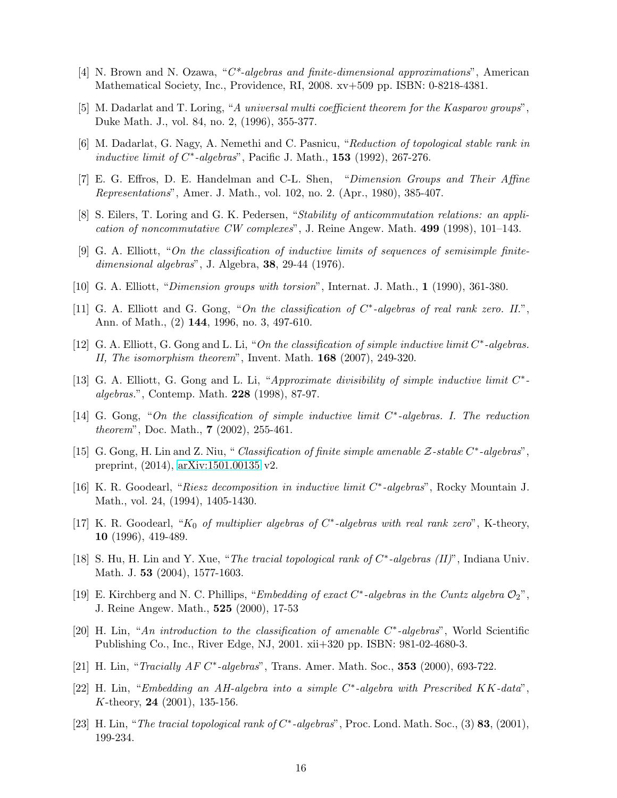- <span id="page-15-11"></span>[4] N. Brown and N. Ozawa, "C\*-algebras and finite-dimensional approximations", American Mathematical Society, Inc., Providence, RI, 2008. xv+509 pp. ISBN: 0-8218-4381.
- <span id="page-15-9"></span>[5] M. Dadarlat and T. Loring, "A universal multi coefficient theorem for the Kasparov groups", Duke Math. J., vol. 84, no. 2, (1996), 355-377.
- <span id="page-15-8"></span>[6] M. Dadarlat, G. Nagy, A. Nemethi and C. Pasnicu, "Reduction of topological stable rank in inductive limit of  $C^*$ -algebras", Pacific J. Math., 153 (1992), 267-276.
- <span id="page-15-6"></span>[7] E. G. Effros, D. E. Handelman and C-L. Shen, "Dimension Groups and Their Affine Representations", Amer. J. Math., vol. 102, no. 2. (Apr., 1980), 385-407.
- [8] S. Eilers, T. Loring and G. K. Pedersen, "Stability of anticommutation relations: an application of noncommutative CW complexes", J. Reine Angew. Math. 499 (1998), 101–143.
- [9] G. A. Elliott, "On the classification of inductive limits of sequences of semisimple finitedimensional algebras", J. Algebra, 38, 29-44 (1976).
- <span id="page-15-1"></span>[10] G. A. Elliott, "Dimension groups with torsion", Internat. J. Math., 1 (1990), 361-380.
- [11] G. A. Elliott and G. Gong, "On the classification of  $C^*$ -algebras of real rank zero. II.", Ann. of Math., (2) 144, 1996, no. 3, 497-610.
- <span id="page-15-2"></span>[12] G. A. Elliott, G. Gong and L. Li, "On the classification of simple inductive limit C\*-algebras. II, The isomorphism theorem", Invent. Math. 168 (2007), 249-320.
- <span id="page-15-12"></span>[13] G. A. Elliott, G. Gong and L. Li, "Approximate divisibility of simple inductive limit  $C^*$ algebras.", Contemp. Math. 228 (1998), 87-97.
- <span id="page-15-3"></span>[14] G. Gong, "On the classification of simple inductive limit  $C^*$ -algebras. I. The reduction theorem", Doc. Math., 7 (2002), 255-461.
- <span id="page-15-4"></span>[15] G. Gong, H. Lin and Z. Niu, "Classification of finite simple amenable Z-stable C<sup>\*</sup>-algebras", preprint, (2014), [arXiv:1501.00135](http://arxiv.org/abs/1501.00135) v2.
- <span id="page-15-7"></span>[16] K. R. Goodearl, "Riesz decomposition in inductive limit C<sup>\*</sup>-algebras", Rocky Mountain J. Math., vol. 24, (1994), 1405-1430.
- [17] K. R. Goodearl, " $K_0$  of multiplier algebras of  $C^*$ -algebras with real rank zero", K-theory, 10 (1996), 419-489.
- [18] S. Hu, H. Lin and Y. Xue, "The tracial topological rank of  $C^*$ -algebras (II)", Indiana Univ. Math. J. 53 (2004), 1577-1603.
- <span id="page-15-0"></span>[19] E. Kirchberg and N. C. Phillips, "Embedding of exact  $C^*$ -algebras in the Cuntz algebra  $\mathcal{O}_2$ ", J. Reine Angew. Math., 525 (2000), 17-53
- [20] H. Lin, "An introduction to the classification of amenable C\*-algebras", World Scientific Publishing Co., Inc., River Edge, NJ, 2001. xii+320 pp. ISBN: 981-02-4680-3.
- <span id="page-15-10"></span>[21] H. Lin, "Tracially AF C\*-algebras", Trans. Amer. Math. Soc., 353 (2000), 693-722.
- [22] H. Lin, "Embedding an AH-algebra into a simple C<sup>\*</sup>-algebra with Prescribed KK-data", K-theory, 24 (2001), 135-156.
- <span id="page-15-5"></span>[23] H. Lin, "The tracial topological rank of  $C^*$ -algebras", Proc. Lond. Math. Soc., (3) 83, (2001), 199-234.